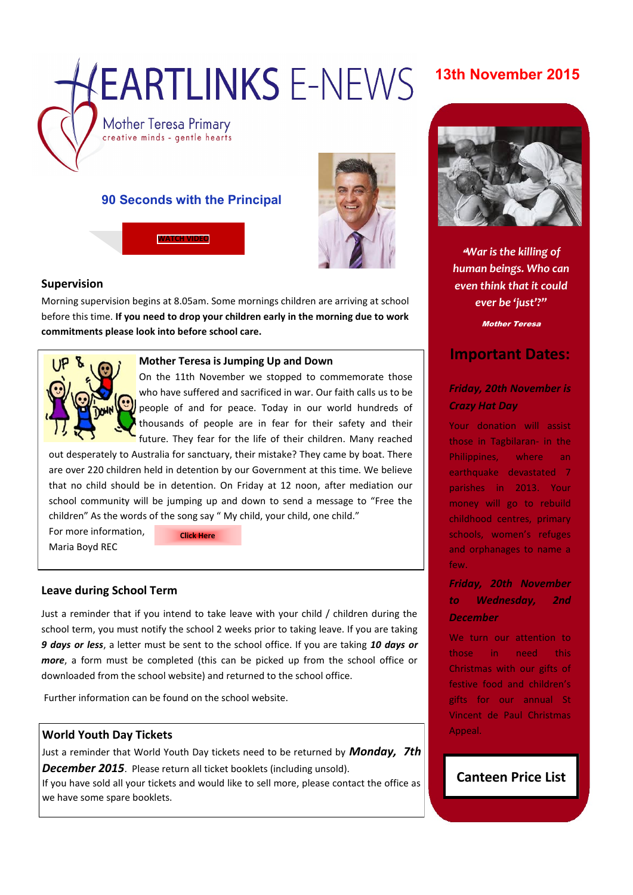# EARTLINKS F-NEWS

# **13th November 2015**

Mother Teresa Primary creative minds - gentle hearts

# **90 Seconds with the Principal**

**[WATCH VIDEO](https://youtu.be/MsEEYk9qHOc)**



## **Supervision**

Morning supervision begins at 8.05am. Some mornings children are arriving at school before this time. **If you need to drop your children early in the morning due to work commitments please look into before school care.** 



#### **Mother Teresa is Jumping Up and Down**

On the 11th November we stopped to commemorate those who have suffered and sacrificed in war. Our faith calls us to be people of and for peace. Today in our world hundreds of thousands of people are in fear for their safety and their future. They fear for the life of their children. Many reached

out desperately to Australia for sanctuary, their mistake? They came by boat. There are over 220 children held in detention by our Government at this time. We believe that no child should be in detention. On Friday at 12 noon, after mediation our school community will be jumping up and down to send a message to "Free the children" As the words of the song say " My child, your child, one child."

For more information, Maria Boyd REC

**[Click Here](https://www.facebook.com/Jump-UpDown-4-Kids-1504561866496496)**

## **Leave during School Term**

Just a reminder that if you intend to take leave with your child / children during the school term, you must notify the school 2 weeks prior to taking leave. If you are taking *9 days or less*, a letter must be sent to the school office. If you are taking *10 days or more*, a form must be completed (this can be picked up from the school office or downloaded from the school website) and returned to the school office.

Further information can be found on the school website.

#### **World Youth Day Tickets**

Just a reminder that World Youth Day tickets need to be returned by *Monday, 7th* 

*December 2015*. Please return all ticket booklets (including unsold).

If you have sold all your tickets and would like to sell more, please contact the office as we have some spare booklets.



"*War is the killing of human beings. Who can even think that it could ever be 'just'?"*

Mother Teresa

# **Important Dates:**

# *Friday, 20th November is Crazy Hat Day*

Your donation will assist those in Tagbilaran- in the Philippines, where an earthquake devastated 7 parishes in 2013. Your money will go to rebuild childhood centres, primary schools, women's refuges and orphanages to name a few.

# *Friday, 20th November to Wednesday, 2nd December*

We turn our attention to those in need this Christmas with our gifts of festive food and children's gifts for our annual St Vincent de Paul Christmas Appeal.

# **Canteen Price List**